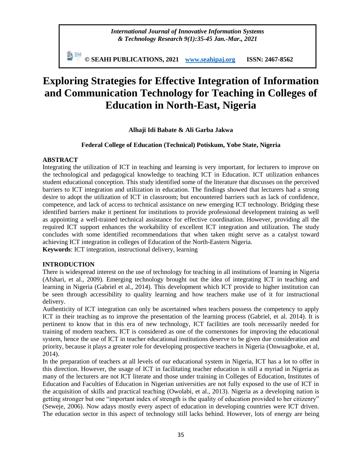*International Journal of Innovative Information Systems & Technology Research 9(1):35-45 Jan.-Mar., 2021*

副洲 **© SEAHI PUBLICATIONS, 2021 [www.seahipaj.org](http://www.seahipaj.org/) ISSN: 2467-8562**

# **Exploring Strategies for Effective Integration of Information and Communication Technology for Teaching in Colleges of Education in North-East, Nigeria**

**Alhaji Idi Babate & Ali Garba Jakwa** 

#### **Federal College of Education (Technical) Potiskum, Yobe State, Nigeria**

#### **ABSTRACT**

Integrating the utilization of ICT in teaching and learning is very important, for lecturers to improve on the technological and pedagogical knowledge to teaching ICT in Education. ICT utilization enhances student educational conception. This study identified some of the literature that discusses on the perceived barriers to ICT integration and utilization in education. The findings showed that lecturers had a strong desire to adopt the utilization of ICT in classroom; but encountered barriers such as lack of confidence, competence, and lack of access to technical assistance on new emerging ICT technology. Bridging these identified barriers make it pertinent for institutions to provide professional development training as well as appointing a well-trained technical assistance for effective coordination. However, providing all the required ICT support enhances the workability of excellent ICT integration and utilization. The study concludes with some identified recommendations that when taken might serve as a catalyst toward achieving ICT integration in colleges of Education of the North-Eastern Nigeria.

**Keywords**: ICT integration, instructional delivery, learning

## **INTRODUCTION**

There is widespread interest on the use of technology for teaching in all institutions of learning in Nigeria (Afshari, et al., 2009). Emerging technology brought out the idea of integrating ICT in teaching and learning in Nigeria (Gabriel et al., 2014). This development which ICT provide to higher institution can be seen through accessibility to quality learning and how teachers make use of it for instructional delivery.

Authenticity of ICT integration can only be ascertained when teachers possess the competency to apply ICT in their teaching as to improve the presentation of the learning process (Gabriel, et al. 2014). It is pertinent to know that in this era of new technology, ICT facilities are tools necessarily needed for training of modern teachers. ICT is considered as one of the cornerstones for improving the educational system, hence the use of ICT in teacher educational institutions deserve to be given due consideration and priority, because it plays a greater role for developing prospective teachers in Nigeria (Onwuagboke, et al, 2014).

In the preparation of teachers at all levels of our educational system in Nigeria, ICT has a lot to offer in this direction. However, the usage of ICT in facilitating teacher education is still a myriad in Nigeria as many of the lecturers are not ICT literate and those under training in Colleges of Education, Institutes of Education and Faculties of Education in Nigerian universities are not fully exposed to the use of ICT in the acquisition of skills and practical teaching (Owolabi, et al., 2013). Nigeria as a developing nation is getting stronger but one "important index of strength is the quality of education provided to her citizenry" (Seweje, 2006). Now adays mostly every aspect of education in developing countries were ICT driven. The education sector in this aspect of technology still lacks behind. However, lots of energy are being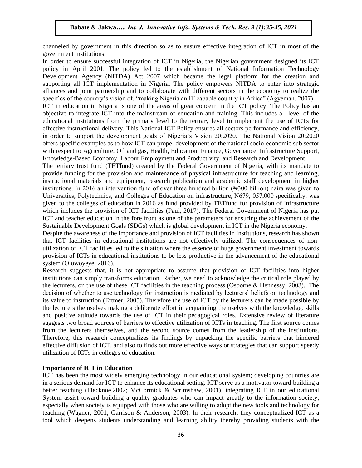channeled by government in this direction so as to ensure effective integration of ICT in most of the government institutions.

In order to ensure successful integration of ICT in Nigeria, the Nigerian government designed its ICT policy in April 2001. The policy led to the establishment of National Information Technology Development Agency (NITDA) Act 2007 which became the legal platform for the creation and supporting all ICT implementation in Nigeria. The policy empowers NITDA to enter into strategic alliances and joint partnership and to collaborate with different sectors in the economy to realize the specifics of the country"s vision of, "making Nigeria an IT capable country in Africa" (Agyeman, 2007).

ICT in education in Nigeria is one of the areas of great concern in the ICT policy. The Policy has an objective to integrate ICT into the mainstream of education and training. This includes all level of the educational institutions from the primary level to the tertiary level to implement the use of ICTs for effective instructional delivery. This National ICT Policy ensures all sectors performance and efficiency, in order to support the development goals of Nigeria"s Vision 20:2020. The National Vision 20:2020 offers specific examples as to how ICT can propel development of the national socio-economic sub sector with respect to Agriculture, Oil and gas, Health, Education, Finance, Governance, Infrastructure Support, Knowledge-Based Economy, Labour Employment and Productivity, and Research and Development.

The tertiary trust fund (TETfund) created by the Federal Government of Nigeria, with its mandate to provide funding for the provision and maintenance of physical infrastructure for teaching and learning, instructional materials and equipment, research publication and academic staff development in higher institutions. In 2016 an intervention fund of over three hundred billion (Notation) naira was given to Universities, Polytechnics, and Colleges of Education on infrastructure, Net among 9.57,000 specifically, was given to the colleges of education in 2016 as fund provided by TETfund for provision of infrastructure which includes the provision of ICT facilities (Paul, 2017). The Federal Government of Nigeria has put ICT and teacher education in the fore front as one of the parameters for ensuring the achievement of the Sustainable Development Goals (SDGs) which is global development in ICT in the Nigeria economy.

Despite the awareness of the importance and provision of ICT facilities in institutions, research has shown that ICT facilities in educational institutions are not effectively utilized. The consequences of nonutilization of ICT facilities led to the situation where the essence of huge government investment towards provision of ICTs in educational institutions to be less productive in the advancement of the educational system (Olowoyeye, 2016).

Research suggests that, it is not appropriate to assume that provision of ICT facilities into higher institutions can simply transforms education. Rather, we need to acknowledge the critical role played by the lecturers, on the use of these ICT facilities in the teaching process (Osborne & Hennessy, 2003). The decision of whether to use technology for instruction is mediated by lecturers' beliefs on technology and its value to instruction (Ertmer, 2005). Therefore the use of ICT by the lecturers can be made possible by the lecturers themselves making a deliberate effort in acquainting themselves with the knowledge, skills and positive attitude towards the use of ICT in their pedagogical roles. Extensive review of literature suggests two broad sources of barriers to effective utilization of ICTs in teaching. The first source comes from the lecturers themselves, and the second source comes from the leadership of the institutions. Therefore, this research conceptualizes its findings by unpacking the specific barriers that hindered effective diffusion of ICT, and also to finds out more effective ways or strategies that can support speedy utilization of ICTs in colleges of education.

#### **Importance of ICT in Education**

ICT has been the most widely emerging technology in our educational system; developing countries are in a serious demand for ICT to enhance its educational setting. ICT serve as a motivator toward building a better teaching (Flecknoe,2002; McCormick & Scrimshaw, 2001), integrating ICT in our educational System assist toward building a quality graduates who can impact greatly to the information society, especially when society is equipped with those who are willing to adopt the new tools and technology for teaching (Wagner, 2001; Garrison & Anderson, 2003). In their research, they conceptualized ICT as a tool which deepens students understanding and learning ability thereby providing students with the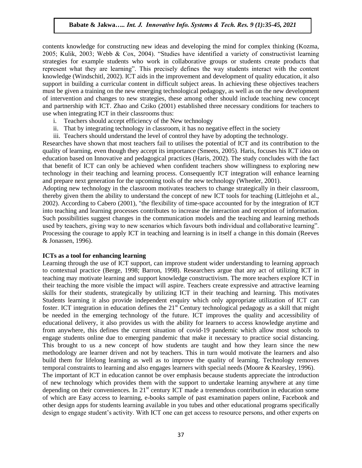contents knowledge for constructing new ideas and developing the mind for complex thinking (Kozma, 2005; Kulik, 2003; Webb & Cox, 2004). "Studies have identified a variety of constructivist learning strategies for example students who work in collaborative groups or students create products that represent what they are learning". This precisely defines the way students interact with the content knowledge (Windschitl, 2002). ICT aids in the improvement and development of quality education, it also support in building a curricular content in difficult subject areas. In achieving these objectives teachers must be given a training on the new emerging technological pedagogy, as well as on the new development of intervention and changes to new strategies, these among other should include teaching new concept and partnership with ICT. Zhao and Cziko (2001) established three necessary conditions for teachers to use when integrating ICT in their classrooms thus:

- i. Teachers should accept efficiency of the New technology
- ii. That by integrating technology in classroom, it has no negative effect in the society
- iii. Teachers should understand the level of control they have by adopting the technology.

Researches have shown that most teachers fail to utilises the potential of ICT and its contribution to the quality of learning, even though they accept its importance (Smeets, 2005). Haris, focuses his ICT idea on education based on Innovative and pedagogical practices (Haris, 2002). The study concludes with the fact that benefit of ICT can only be achieved when confident teachers show willingness to exploring new technology in their teaching and learning process. Consequently ICT integration will enhance learning and prepare next generation for the upcoming tools of the new technology (Wheeler, 2001).

Adopting new technology in the classroom motivates teachers to change strategically in their classroom, thereby given them the ability to understand the concept of new ICT tools for teaching (Littlejohn et al., 2002). According to Cabero (2001), "the flexibility of time-space accounted for by the integration of ICT into teaching and learning processes contributes to increase the interaction and reception of information. Such possibilities suggest changes in the communication models and the teaching and learning methods used by teachers, giving way to new scenarios which favours both individual and collaborative learning". Processing the courage to apply ICT in teaching and learning is in itself a change in this domain (Reeves & Jonassen, 1996).

#### **ICTs as a tool for enhancing learning**

Learning through the use of ICT support, can improve student wider understanding to learning approach to contextual practice (Berge, 1998; Barron, 1998). Researchers argue that any act of utilizing ICT in teaching may motivate learning and support knowledge constructivism. The more teachers explore ICT in their teaching the more visible the impact will aspire. Teachers create expressive and attractive learning skills for their students, strategically by utilizing ICT in their teaching and learning. This motivates Students learning it also provide independent enquiry which only appropriate utilization of ICT can foster. ICT integration in education defines the  $21<sup>st</sup>$  Century technological pedagogy as a skill that might be needed in the emerging technology of the future. ICT improves the quality and accessibility of educational delivery, it also provides us with the ability for learners to access knowledge anytime and from anywhere, this defines the current situation of covid-19 pandemic which allow most schools to engage students online due to emerging pandemic that make it necessary to practice social distancing. This brought to us a new concept of how students are taught and how they learn since the new methodology are learner driven and not by teachers. This in turn would motivate the learners and also build them for lifelong learning as well as to improve the quality of learning. Technology removes temporal constraints to learning and also engages learners with special needs (Moore & Kearsley, 1996). The important of ICT in education cannot be over emphasis because students appreciate the introduction of new technology which provides them with the support to undertake learning anywhere at any time

depending on their conveniences. In 21<sup>st</sup> century ICT made a tremendous contribution in education some of which are Easy access to learning, e-books sample of past examination papers online, Facebook and other design apps for students learning available in you tubes and other educational programs specifically design to engage student's activity. With ICT one can get access to resource persons, and other experts on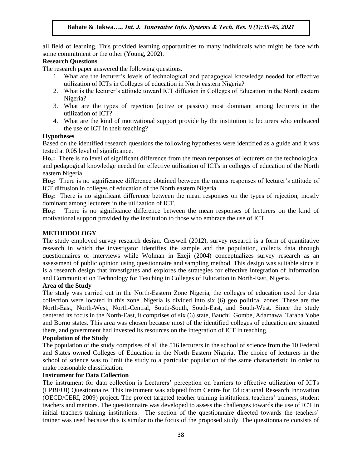all field of learning. This provided learning opportunities to many individuals who might be face with some commitment or the other (Young, 2002).

### **Research Questions**

The research paper answered the following questions.

- 1. What are the lecturer"s levels of technological and pedagogical knowledge needed for effective utilization of ICTs in Colleges of education in North eastern Nigeria?
- 2. What is the lecturer's attitude toward ICT diffusion in Colleges of Education in the North eastern Nigeria?
- 3. What are the types of rejection (active or passive) most dominant among lecturers in the utilization of ICT?
- 4. What are the kind of motivational support provide by the institution to lecturers who embraced the use of ICT in their teaching?

#### **Hypotheses**

Based on the identified research questions the following hypotheses were identified as a guide and it was tested at 0.05 level of significance.

**Ho1:** There is no level of significant difference from the mean responses of lecturers on the technological and pedagogical knowledge needed for effective utilization of ICTs in colleges of education of the North eastern Nigeria.

Ho<sub>2</sub>: There is no significance difference obtained between the means responses of lecturer's attitude of ICT diffusion in colleges of education of the North eastern Nigeria.

**Ho3:** There is no significant difference between the mean responses on the types of rejection, mostly dominant among lecturers in the utilization of ICT.

**Ho4:** There is no significance difference between the mean responses of lecturers on the kind of motivational support provided by the institution to those who embrace the use of ICT.

#### **METHODOLOGY**

The study employed survey research design. Creswell (2012), survey research is a form of quantitative research in which the investigator identifies the sample and the population, collects data through questionnaires or interviews while Wolman in Ezeji (2004) conceptualizes survey research as an assessment of public opinion using questionnaire and sampling method. This design was suitable since it is a research design that investigates and explores the strategies for effective Integration of Information and Communication Technology for Teaching in Colleges of Education in North-East, Nigeria.

#### **Area of the Study**

The study was carried out in the North-Eastern Zone Nigeria, the colleges of education used for data collection were located in this zone. Nigeria is divided into six (6) geo political zones. These are the North-East, North-West, North-Central, South-South, South-East, and South-West. Since the study centered its focus in the North-East, it comprises of six (6) state, Bauchi, Gombe, Adamawa, Taraba Yobe and Borno states. This area was chosen because most of the identified colleges of education are situated there, and government had invested its resources on the integration of ICT in teaching.

#### **Population of the Study**

The population of the study comprises of all the 516 lecturers in the school of science from the 10 Federal and States owned Colleges of Education in the North Eastern Nigeria. The choice of lecturers in the school of science was to limit the study to a particular population of the same characteristic in order to make reasonable classification.

#### **Instrument for Data Collection**

The instrument for data collection is Lecturers" perception on barriers to effective utilization of ICTs (LPBEUI) Questionnaire. This instrument was adapted from Centre for Educational Research Innovation (OECD/CERI, 2009) project. The project targeted teacher training institutions, teachers" trainers, student teachers and mentors. The questionnaire was developed to assess the challenges towards the use of ICT in initial teachers training institutions. The section of the questionnaire directed towards the teachers' trainer was used because this is similar to the focus of the proposed study. The questionnaire consists of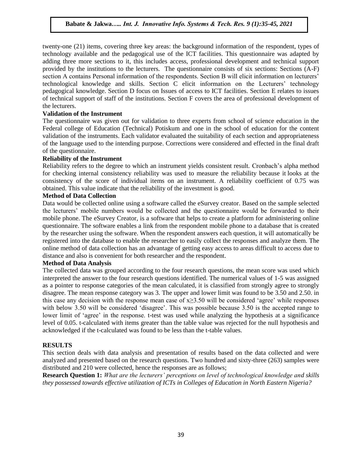twenty-one (21) items, covering three key areas: the background information of the respondent, types of technology available and the pedagogical use of the ICT facilities. This questionnaire was adapted by adding three more sections to it, this includes access, professional development and technical support provided by the institutions to the lecturers. The questionnaire consists of six sections: Sections (A-F) section A contains Personal information of the respondents. Section B will elicit information on lecturers' technological knowledge and skills. Section C elicit information on the Lecturers" technology pedagogical knowledge. Section D focus on Issues of access to ICT facilities. Section E relates to issues of technical support of staff of the institutions. Section F covers the area of professional development of the lecturers.

## **Validation of the Instrument**

The questionnaire was given out for validation to three experts from school of science education in the Federal college of Education (Technical) Potiskum and one in the school of education for the content validation of the instruments. Each validator evaluated the suitability of each section and appropriateness of the language used to the intending purpose. Corrections were considered and effected in the final draft of the questionnaire.

## **Reliability of the Instrument**

Reliability refers to the degree to which an instrument yields consistent result. Cronbach"s alpha method for checking internal consistency reliability was used to measure the reliability because it looks at the consistency of the score of individual items on an instrument. A reliability coefficient of 0.75 was obtained. This value indicate that the reliability of the investment is good.

## **Method of Data Collection**

Data would be collected online using a software called the eSurvey creator. Based on the sample selected the lecturers" mobile numbers would be collected and the questionnaire would be forwarded to their mobile phone. The eSurvey Creator, is a software that helps to create a platform for administering online questionnaire. The software enables a link from the respondent mobile phone to a database that is created by the researcher using the software. When the respondent answers each question, it will automatically be registered into the database to enable the researcher to easily collect the responses and analyze them. The online method of data collection has an advantage of getting easy access to areas difficult to access due to distance and also is convenient for both researcher and the respondent.

## **Method of Data Analysis**

The collected data was grouped according to the four research questions, the mean score was used which interpreted the answer to the four research questions identified. The numerical values of 1-5 was assigned as a pointer to response categories of the mean calculated, it is classified from strongly agree to strongly disagree. The mean response category was 3. The upper and lower limit was found to be 3.50 and 2.50. in this case any decision with the response mean case of  $x\geq 3.50$  will be considered 'agree' while responses with below 3.50 will be considered 'disagree'. This was possible because 3.50 is the accepted range to lower limit of 'agree' in the response. t-test was used while analyzing the hypothesis at a significance level of 0.05. t-calculated with items greater than the table value was rejected for the null hypothesis and acknowledged if the t-calculated was found to be less than the t-table values.

## **RESULTS**

This section deals with data analysis and presentation of results based on the data collected and were analyzed and presented based on the research questions. Two hundred and sixty-three (263) samples were distributed and 210 were collected, hence the responses are as follows;

**Research Question 1:** *What are the lecturers' perceptions on level of technological knowledge and skills they possessed towards effective utilization of ICTs in Colleges of Education in North Eastern Nigeria?*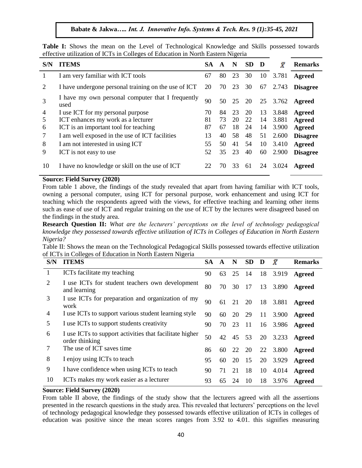|  |  |  |  | Table I: Shows the mean on the Level of Technological Knowledge and Skills possessed towards |  |  |  |
|--|--|--|--|----------------------------------------------------------------------------------------------|--|--|--|
|  |  |  |  | effective utilization of ICTs in Colleges of Education in North Eastern Nigeria              |  |  |  |

| S/N            | <b>ITEMS</b>                                              | <b>SA</b> | $\mathbf{A}$ | N  | <b>SD</b> | D  | Х                 | <b>Remarks</b>  |
|----------------|-----------------------------------------------------------|-----------|--------------|----|-----------|----|-------------------|-----------------|
|                | I am very familiar with ICT tools                         | 67        | 80           | 23 | 30        | 10 | 3.781             | Agreed          |
| 2              | I have undergone personal training on the use of ICT      | 20        | 70           | 23 | 30        | 67 | 2.743             | <b>Disagree</b> |
| 3              | I have my own personal computer that I frequently<br>used | 90        |              |    |           |    | 50 25 20 25 3.762 | Agreed          |
| $\overline{4}$ | I use ICT for my personal purpose                         | 70        | 84           | 23 | 20        | 13 | 3.848             | Agreed          |
| 5              | ICT enhances my work as a lecturer                        | 81        | 73           | 20 | 22        | 14 | 3.881             | <b>Agreed</b>   |
| 6              | ICT is an important tool for teaching                     | 87        | 67           | 18 | 24        | 14 | 3.900             | Agreed          |
| 7              | I am well exposed in the use of ICT facilities            | 13        | 40           | 58 | 48        | 51 | 2.600             | <b>Disagree</b> |
| 8              | I am not interested in using ICT                          | 55        | 50           | 41 | 54        | 10 | 3.410             | <b>Agreed</b>   |
| 9              | ICT is not easy to use                                    | 52        | 35           | 23 | 40        | 60 | 2.900             | <b>Disagree</b> |
| 10             | I have no knowledge or skill on the use of ICT            | 22        | 70           | 33 | 61        | 24 | 3.024             | Agreed          |

#### **Source: Field Survey (2020)**

From table 1 above, the findings of the study revealed that apart from having familiar with ICT tools, owning a personal computer, using ICT for personal purpose, work enhancement and using ICT for teaching which the respondents agreed with the views, for effective teaching and learning other items such as ease of use of ICT and regular training on the use of ICT by the lectures were disagreed based on the findings in the study area.

**Research Question II:** *What are the lecturers' perceptions on the level of technology pedagogical knowledge they possessed towards effective utilization of ICTs in Colleges of Education in North Eastern Nigeria?*

Table II: Shows the mean on the Technological Pedagogical Skills possessed towards effective utilization of ICTs in Colleges of Education in North Eastern Nigeria

| S/N | <b>ITEMS</b>                                                              | <b>SA</b> | A  | N  | <b>SD</b> | $\mathbf{D}$ | $\bar{X}$      | <b>Remarks</b> |
|-----|---------------------------------------------------------------------------|-----------|----|----|-----------|--------------|----------------|----------------|
|     | ICTs facilitate my teaching                                               | 90        | 63 | 25 | -14       |              | 18 3.919       | Agreed         |
| 2   | I use ICTs for student teachers own development<br>and learning           | 80        | 70 | 30 | 17        |              | 13 3.890       | Agreed         |
| 3   | I use ICTs for preparation and organization of my<br>work                 | 90        | 61 | 21 | 20        |              | 18 3.881       | Agreed         |
| 4   | I use ICTs to support various student learning style                      | 90        | 60 | 20 | 29        | 11           | 3.900          | <b>Agreed</b>  |
| 5   | I use ICTs to support students creativity                                 | 90        | 70 | 23 | -11       |              | 16 3.986       | <b>Agreed</b>  |
| 6   | I use ICTs to support activities that facilitate higher<br>order thinking | 50        | 42 |    | 45 53     |              | 20 3.233       | Agreed         |
|     | The use of ICT saves time                                                 | 86        | 60 |    |           |              | 22 20 22 3.800 | <b>Agreed</b>  |
| 8   | I enjoy using ICTs to teach                                               | 95        | 60 | 20 | 15        | 20           | 3.929          | Agreed         |
| 9   | I have confidence when using ICTs to teach                                | 90        | 71 | 21 | 18        | 10           | 4.014          | Agreed         |
| 10  | ICTs makes my work easier as a lecturer                                   | 93        | 65 | 24 | 10        | 18           | 3.976          | Agreed         |

## **Source: Field Survey (2020)**

From table II above, the findings of the study show that the lecturers agreed with all the assertions presented in the research questions in the study area. This revealed that lecturers" perceptions on the level of technology pedagogical knowledge they possessed towards effective utilization of ICTs in colleges of education was positive since the mean scores ranges from 3.92 to 4.01. this signifies measuring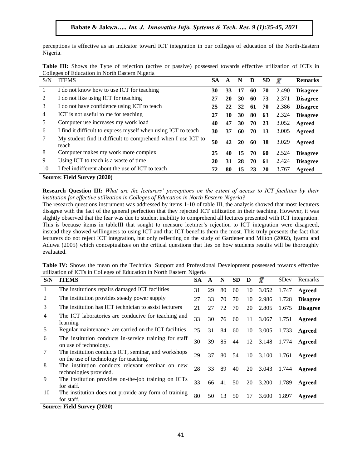perceptions is effective as an indicator toward ICT integration in our colleges of education of the North-Eastern Nigeria.

| Table III: Shows the Type of rejection (active or passive) possessed towards effective utilization of ICTs in |  |  |  |
|---------------------------------------------------------------------------------------------------------------|--|--|--|
| Colleges of Education in North Eastern Nigeria                                                                |  |  |  |

| S/N | <b>ITEMS</b>                                                          | <b>SA</b> | A  | N         | D  | <b>SD</b> | Х     | <b>Remarks</b>  |
|-----|-----------------------------------------------------------------------|-----------|----|-----------|----|-----------|-------|-----------------|
|     | I do not know how to use ICT for teaching                             | 30        | 33 | 17        | 60 | 70        | 2.490 | <b>Disagree</b> |
| 2   | I do not like using ICT for teaching                                  | 27        | 20 | 30        | 60 | 73        | 2.371 | <b>Disagree</b> |
| 3   | I do not have confidence using ICT to teach                           | 25        | 22 | 32        | 61 | 70        | 2.386 | <b>Disagree</b> |
| 4   | ICT is not useful to me for teaching                                  | 27        | 10 | 30        | 80 | 63        | 2.324 | <b>Disagree</b> |
| 5   | Computer use increases my work load                                   | 40        | 47 | 30        | 70 | 23        | 3.052 | Agreed          |
| 6   | I find it difficult to express myself when using ICT to teach         | 30        | 37 | 60        | 70 | 13        | 3.005 | Agreed          |
| 7   | My student find it difficult to comprehend when I use ICT to<br>teach | 50        | 42 | <b>20</b> | 60 | 38        | 3.029 | Agreed          |
| 8   | Computer makes my work more complex                                   | 25        | 40 | 15        | 70 | 60        | 2.524 | <b>Disagree</b> |
| 9   | Using ICT to teach is a waste of time                                 | 20        | 31 | 28        | 70 | 61        | 2.424 | <b>Disagree</b> |
| 10  | I feel indifferent about the use of ICT to teach                      | 72        | 80 | 15        | 23 | 20        | 3.767 | Agreed          |

**Source: Field Survey (2020)**

**Research Question III:** *What are the lecturers' perceptions on the extent of access to ICT facilities by their institution for effective utilization in Colleges of Education in North Eastern Nigeria?*

The research questions instrument was addressed by items 1-10 of table III, the analysis showed that most lecturers disagree with the fact of the general perfection that they rejected ICT utilization in their teaching. However, it was slightly observed that the fear was due to student inability to comprehend all lectures presented with ICT integration. This is because items in tableIII that sought to measure lecturer"s rejection to ICT integration were disagreed, instead they showed willingness to using ICT and that ICT benefits them the most. This truly presents the fact that lecturers do not reject ICT integration, but only reflecting on the study of Gardener and Milton (2002), Iyamu and Aduwa (2005) which conceptualizes on the critical questions that lies on how students results will be thoroughly evaluated.

|                                                                       |  |  |  | Table IV: Shows the mean on the Technical Support and Professional Development possessed towards effective |  |  |  |
|-----------------------------------------------------------------------|--|--|--|------------------------------------------------------------------------------------------------------------|--|--|--|
| utilization of ICTs in Colleges of Education in North Eastern Nigeria |  |  |  |                                                                                                            |  |  |  |

| S/N | <b>ITEMS</b>                                                                                   | <b>SA</b> | A  | N  | <b>SD</b> | D  | $\bar{X}$ | SDev  | Remarks         |
|-----|------------------------------------------------------------------------------------------------|-----------|----|----|-----------|----|-----------|-------|-----------------|
| 1   | The institutions repairs damaged ICT facilities                                                | 31        | 29 | 80 | 60        | 10 | 3.052     | 1.747 | Agreed          |
| 2   | The institution provides steady power supply                                                   | 27        | 33 | 70 | 70        | 10 | 2.986     | 1.728 | <b>Disagree</b> |
| 3   | The institution has ICT technician to assist lecturers                                         | 21        | 27 | 72 | 70        | 20 | 2.805     | 1.675 | <b>Disagree</b> |
| 4   | The ICT laboratories are conducive for teaching and<br>learning                                | 33        | 30 | 76 | 60        | 11 | 3.067     | 1.751 | Agreed          |
| 5   | Regular maintenance are carried on the ICT facilities                                          | 25        | 31 | 84 | 60        | 10 | 3.005     | 1.733 | Agreed          |
| 6   | The institution conducts in-service training for staff<br>on use of technology.                | 30        | 39 | 85 | 44        | 12 | 3.148     | 1.774 | Agreed          |
| 7   | The institution conducts ICT, seminar, and workshops<br>on the use of technology for teaching. | 29        | 37 | 80 | 54        | 10 | 3.100     | 1.761 | Agreed          |
| 8   | The institution conducts relevant seminar on new<br>technologies provided.                     | 28        | 33 | 89 | 40        | 20 | 3.043     | 1.744 | Agreed          |
| 9   | The institution provides on-the-job training on ICTs<br>for staff.                             | 33        | 66 | 41 | 50        | 20 | 3.200     | 1.789 | Agreed          |
| 10  | The institution does not provide any form of training<br>for staff.                            | 80        | 50 | 13 | 50        | 17 | 3.600     | 1.897 | Agreed          |
|     | $C_1, \ldots, C_n, C_1, C_2, \ldots, C_n, C_0, C_0$                                            |           |    |    |           |    |           |       |                 |

**Source: Field Survey (2020)**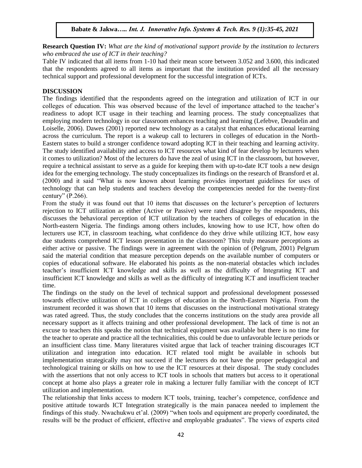**Research Question IV:** *What are the kind of motivational support provide by the institution to lecturers who embraced the use of ICT in their teaching?*

Table IV indicated that all items from 1-10 had their mean score between 3.052 and 3.600, this indicated that the respondents agreed to all items as important that the institution provided all the necessary technical support and professional development for the successful integration of ICTs.

### **DISCUSSION**

The findings identified that the respondents agreed on the integration and utilization of ICT in our colleges of education. This was observed because of the level of importance attached to the teacher"s readiness to adopt ICT usage in their teaching and learning process. The study conceptualizes that employing modern technology in our classroom enhances teaching and learning (Lefebve, Deaudelin and Loiselle, 2006). Dawes (2001) reported new technology as a catalyst that enhances educational learning across the curriculum. The report is a wakeup call to lecturers in colleges of education in the North-Eastern states to build a stronger confidence toward adopting ICT in their teaching and learning activity. The study identified availability and access to ICT resources what kind of fear develop by lecturers when it comes to utilization? Most of the lecturers do have the zeal of using ICT in the classroom, but however, require a technical assistant to serve as a guide for keeping them with up-to-date ICT tools a new design idea for the emerging technology. The study conceptualizes its findings on the research of Bransford et al. (2000) and it said "What is now known about learning provides important guidelines for uses of technology that can help students and teachers develop the competencies needed for the twenty-first century" (P.266).

From the study it was found out that 10 items that discusses on the lecturer's perception of lecturers rejection to ICT utilization as either (Active or Passive) were rated disagree by the respondents, this discusses the behavioral perception of ICT utilization by the teachers of colleges of education in the North-eastern Nigeria. The findings among others includes, knowing how to use ICT, how often do lecturers use ICT, in classroom teaching, what confidence do they drive while utilizing ICT, how easy due students comprehend ICT lesson presentation in the classroom? This truly measure perceptions as either active or passive. The findings were in agreement with the opinion of (Pelgrum, 2001) Pelgrum said the material condition that measure perception depends on the available number of computers or copies of educational software. He elaborated his points as the non-material obstacles which includes teacher"s insufficient ICT knowledge and skills as well as the difficulty of Integrating ICT and insufficient ICT knowledge and skills as well as the difficulty of integrating ICT and insufficient teacher time.

The findings on the study on the level of technical support and professional development possessed towards effective utilization of ICT in colleges of education in the North-Eastern Nigeria. From the instrument recorded it was shown that 10 items that discusses on the instructional motivational strategy was rated agreed. Thus, the study concludes that the concerns institutions on the study area provide all necessary support as it affects training and other professional development. The lack of time is not an excuse to teachers this speaks the notion that technical equipment was available but there is no time for the teacher to operate and practice all the technicalities, this could be due to unfavorable lecture periods or an insufficient class time. Many literatures visited argue that lack of teacher training discourages ICT utilization and integration into education. ICT related tool might be available in schools but implementation strategically may not succeed if the lecturers do not have the proper pedagogical and technological training or skills on how to use the ICT resources at their disposal. The study concludes with the assertions that not only access to ICT tools in schools that matters but access to it operational concept at home also plays a greater role in making a lecturer fully familiar with the concept of ICT utilization and implementation.

The relationship that links access to modern ICT tools, training, teacher's competence, confidence and positive attitude towards ICT Integration strategically is the main panacea needed to implement the findings of this study. Nwachukwu et'al. (2009) "when tools and equipment are properly coordinated, the results will be the product of efficient, effective and employable graduates". The views of experts cited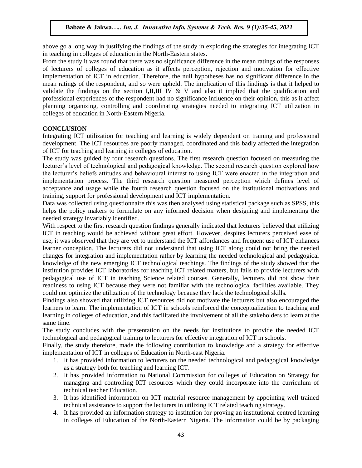above go a long way in justifying the findings of the study in exploring the strategies for integrating ICT in teaching in colleges of education in the North-Eastern states.

From the study it was found that there was no significance difference in the mean ratings of the responses of lecturers of colleges of education as it affects perception, rejection and motivation for effective implementation of ICT in education. Therefore, the null hypotheses has no significant difference in the mean ratings of the respondent, and so were upheld. The implication of this findings is that it helped to validate the findings on the section I,II,III IV  $&$  V and also it implied that the qualification and professional experiences of the respondent had no significance influence on their opinion, this as it affect planning organizing, controlling and coordinating strategies needed to integrating ICT utilization in colleges of education in North-Eastern Nigeria.

#### **CONCLUSION**

Integrating ICT utilization for teaching and learning is widely dependent on training and professional development. The ICT resources are poorly managed, coordinated and this badly affected the integration of ICT for teaching and learning in colleges of education.

The study was guided by four research questions. The first research question focused on measuring the lecturer's level of technological and pedagogical knowledge. The second research question explored how the lecturer"s beliefs attitudes and behavioural interest to using ICT were enacted in the integration and implementation process. The third research question measured perception which defines level of acceptance and usage while the fourth research question focused on the institutional motivations and training, support for professional development and ICT implementation.

Data was collected using questionnaire this was then analysed using statistical package such as SPSS, this helps the policy makers to formulate on any informed decision when designing and implementing the needed strategy invariably identified.

With respect to the first research question findings generally indicated that lecturers believed that utilizing ICT in teaching would be achieved without great effort. However, despites lecturers perceived ease of use, it was observed that they are yet to understand the ICT affordances and frequent use of ICT enhances learner conception. The lecturers did not understand that using ICT along could not bring the needed changes for integration and implementation rather by learning the needed technological and pedagogical knowledge of the new emerging ICT technological teachings. The findings of the study showed that the institution provides ICT laboratories for teaching ICT related matters, but fails to provide lecturers with pedagogical use of ICT in teaching Science related courses. Generally, lecturers did not show their readiness to using ICT because they were not familiar with the technological facilities available. They could not optimize the utilization of the technology because they lack the technological skills.

Findings also showed that utilizing ICT resources did not motivate the lecturers but also encouraged the learners to learn. The implementation of ICT in schools reinforced the conceptualization to teaching and learning in colleges of education, and this facilitated the involvement of all the stakeholders to learn at the same time.

The study concludes with the presentation on the needs for institutions to provide the needed ICT technological and pedagogical training to lecturers for effective integration of ICT in schools.

Finally, the study therefore, made the following contribution to knowledge and a strategy for effective implementation of ICT in colleges of Education in North-east Nigeria.

- 1. It has provided information to lecturers on the needed technological and pedagogical knowledge as a strategy both for teaching and learning ICT.
- 2. It has provided information to National Commission for colleges of Education on Strategy for managing and controlling ICT resources which they could incorporate into the curriculum of technical teacher Education.
- 3. It has identified information on ICT material resource management by appointing well trained technical assistance to support the lecturers in utilizing ICT related teaching strategy.
- 4. It has provided an information strategy to institution for proving an institutional centred learning in colleges of Education of the North-Eastern Nigeria. The information could be by packaging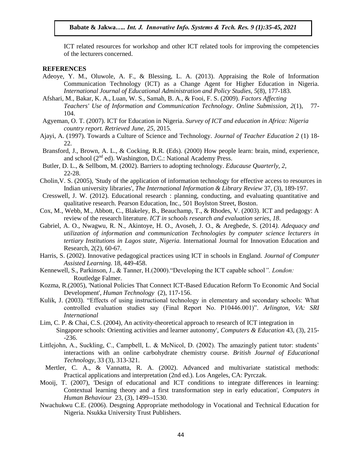ICT related resources for workshop and other ICT related tools for improving the competencies of the lecturers concerned.

#### **REFERENCES**

- Adeoye, Y. M., Oluwole, A. F., & Blessing, L. A. (2013). Appraising the Role of Information Communication Technology (ICT) as a Change Agent for Higher Education in Nigeria. *International Journal of Educational Administration and Policy Studies, 5*(8), 177-183.
- Afshari, M., Bakar, K. A., Luan, W. S., Samah, B. A., & Fooi, F. S. (2009). *Factors Affecting Teachers' Use of Information and Communication Technology*. *Online Submission, 2*(1), 77- 104.
- Agyeman, O. T. (2007). ICT for Education in Nigeria. *Survey of ICT and education in Africa: Nigeria country report. Retrieved June, 25*, 2015.
- Ajayi, A. (1997). Towards a Culture of Science and Technology. *Journal of Teacher Education 2* (1) 18- 22.
- Bransford, J., Brown, A. L., & Cocking, R.R. (Eds). (2000) How people learn: brain, mind, experience, and school  $(2^{nd}$  ed). Washington, D.C.: National Academy Press.
- Butler, D. L., & Sellbom, M. (2002). Barriers to adopting technology. *Educause Quarterly, 2*, 22-28.
- Cholin,V. S. (2005), 'Study of the application of information technology for effective access to resources in Indian university libraries', *The International Information & Library Review* 37, (3), 189-197.
- Cresswell, J. W. (2012). Educational research : planning, conducting, and evaluating quantitative and qualitative research. Pearson Education, Inc., 501 Boylston Street, Boston.
- Cox, M., Webb, M., Abbott, C., Blakeley, B., Beauchamp, T., & Rhodes, V. (2003). ICT and pedagogy: A review of the research literature. *ICT in schools research and evaluation series, 18*.
- Gabriel, A. O., Nwagwu, R. N., Akintoye, H. O., Avoseh, J. O., & Aregbede, S. (2014*). Adequacy and utilization of information and communication Technologies by computer science lecturers in tertiary Institutions in Lagos state, Nigeria.* International Journal for Innovation Education and Research, 2(2), 60-67.
- Harris, S. (2002). Innovative pedagogical practices using ICT in schools in England. *Journal of Computer Assisted Learning*. 18, 449-458.
- Kennewell, S., Parkinson, J., & Tanner, H.(2000)."Developing the ICT capable school*". London:*  Routledge Falmer.
- Kozma, R.(2005), 'National Policies That Connect ICT-Based Education Reform To Economic And Social Development', *Human Technology* (2), 117-156.
- Kulik, J. (2003). "Effects of using instructional technology in elementary and secondary schools: What controlled evaluation studies say (Final Report No. P10446.001)". *Arlington, VA: SRI International*
- Lim, C. P. & Chai, C.S. (2004), An activity-theoretical approach to research of ICT integration in Singapore schools: Orienting activities and learner autonomy', *Computers & Education* 43, (3), 215- -236.
- Littlejohn, A., Suckling, C., Campbell, L. & McNicol, D. (2002). The amazingly patient tutor: students' interactions with an online carbohydrate chemistry course. *British Journal of Educational Technology*, 33 (3), 313-321.
- Mertler, C. A., & Vannatta, R. A. (2002). Advanced and multivariate statistical methods: Practical applications and interpretation (2nd ed.). Los Angeles, CA: Pyrczak.
- Mooij, T. (2007), 'Design of educational and ICT conditions to integrate differences in learning: Contextual learning theory and a first transformation step in early education', *Computers in Human Behaviour* 23, (3), 1499--1530.
- Nwachukwu C.E. (2006). Desgning Appropriate methodology in Vocational and Technical Education for Nigeria. Nsukka University Trust Publishers.